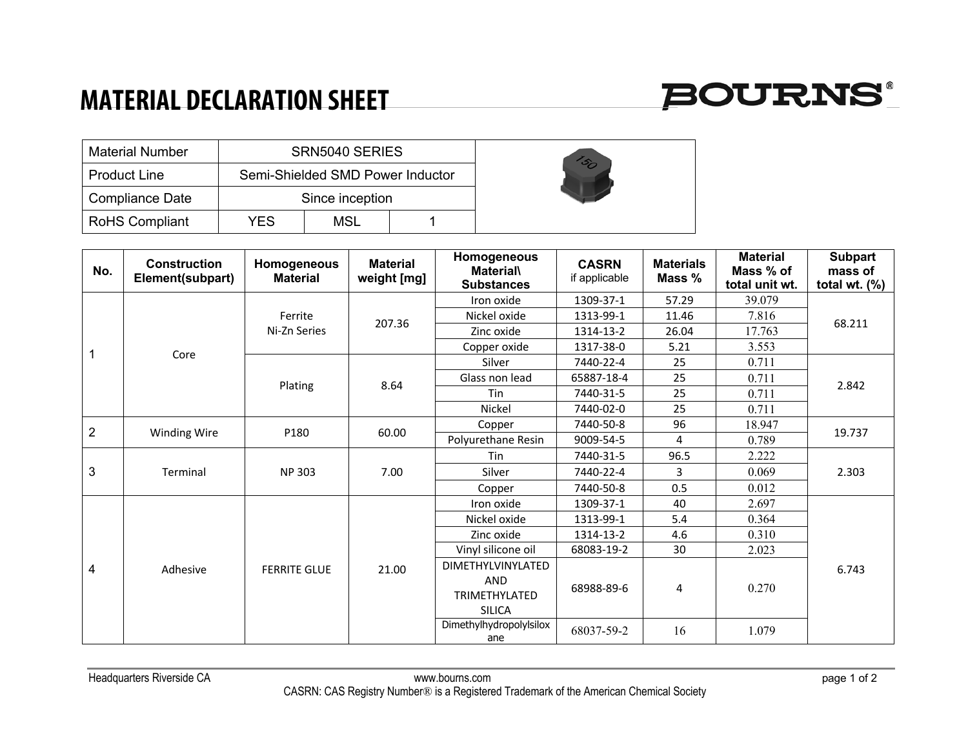## **MATERIAL DECLARATION SHEET**



|                        | <b>Material Number</b><br>SRN5040 SERIES |                                  |     |  |  |
|------------------------|------------------------------------------|----------------------------------|-----|--|--|
| <b>Product Line</b>    |                                          | Semi-Shielded SMD Power Inductor |     |  |  |
| <b>Compliance Date</b> |                                          | Since inception                  |     |  |  |
| <b>RoHS Compliant</b>  |                                          | YFS                              | MSL |  |  |

| No.            | <b>Construction</b><br>Element(subpart) | Homogeneous<br><b>Material</b> | <b>Material</b><br>weight [mg] | Homogeneous<br><b>Material\</b><br><b>Substances</b> | <b>CASRN</b><br>if applicable | <b>Materials</b><br>Mass % | <b>Material</b><br>Mass % of<br>total unit wt. | <b>Subpart</b><br>mass of<br>total wt. $(\%)$ |
|----------------|-----------------------------------------|--------------------------------|--------------------------------|------------------------------------------------------|-------------------------------|----------------------------|------------------------------------------------|-----------------------------------------------|
|                | Core                                    | Ferrite<br>Ni-Zn Series        | 207.36                         | Iron oxide                                           | 1309-37-1                     | 57.29                      | 39.079                                         | 68.211                                        |
|                |                                         |                                |                                | Nickel oxide                                         | 1313-99-1                     | 11.46                      | 7.816                                          |                                               |
|                |                                         |                                |                                | Zinc oxide                                           | 1314-13-2                     | 26.04                      | 17.763                                         |                                               |
|                |                                         |                                |                                | Copper oxide                                         | 1317-38-0                     | 5.21                       | 3.553                                          |                                               |
|                |                                         | Plating                        | 8.64                           | Silver                                               | 7440-22-4                     | 25                         | 0.711                                          | 2.842                                         |
|                |                                         |                                |                                | Glass non lead                                       | 65887-18-4                    | 25                         | 0.711                                          |                                               |
|                |                                         |                                |                                | Tin                                                  | 7440-31-5                     | 25                         | 0.711                                          |                                               |
|                |                                         |                                |                                | Nickel                                               | 7440-02-0                     | 25                         | 0.711                                          |                                               |
| $\overline{2}$ |                                         | P180                           | 60.00                          | Copper                                               | 7440-50-8                     | 96                         | 18.947                                         | 19.737                                        |
|                | <b>Winding Wire</b>                     |                                |                                | Polyurethane Resin                                   | 9009-54-5                     | 4                          | 0.789                                          |                                               |
| 3              | Terminal                                | <b>NP 303</b>                  | 7.00                           | Tin                                                  | 7440-31-5                     | 96.5                       | 2.222                                          | 2.303                                         |
|                |                                         |                                |                                | Silver                                               | 7440-22-4                     | 3                          | 0.069                                          |                                               |
|                |                                         |                                |                                | Copper                                               | 7440-50-8                     | 0.5                        | 0.012                                          |                                               |
| 4              | Adhesive                                | <b>FERRITE GLUE</b>            | 21.00                          | Iron oxide                                           | 1309-37-1                     | 40                         | 2.697                                          | 6.743                                         |
|                |                                         |                                |                                | Nickel oxide                                         | 1313-99-1                     | 5.4                        | 0.364                                          |                                               |
|                |                                         |                                |                                | Zinc oxide                                           | 1314-13-2                     | 4.6                        | 0.310                                          |                                               |
|                |                                         |                                |                                | Vinyl silicone oil                                   | 68083-19-2                    | 30                         | 2.023                                          |                                               |
|                |                                         |                                |                                | <b>DIMETHYLVINYLATED</b>                             |                               |                            |                                                |                                               |
|                |                                         |                                |                                | <b>AND</b><br><b>TRIMETHYLATED</b><br><b>SILICA</b>  | 68988-89-6                    | 4                          | 0.270                                          |                                               |
|                |                                         |                                |                                | Dimethylhydropolylsilox<br>ane                       | 68037-59-2                    | 16                         | 1.079                                          |                                               |